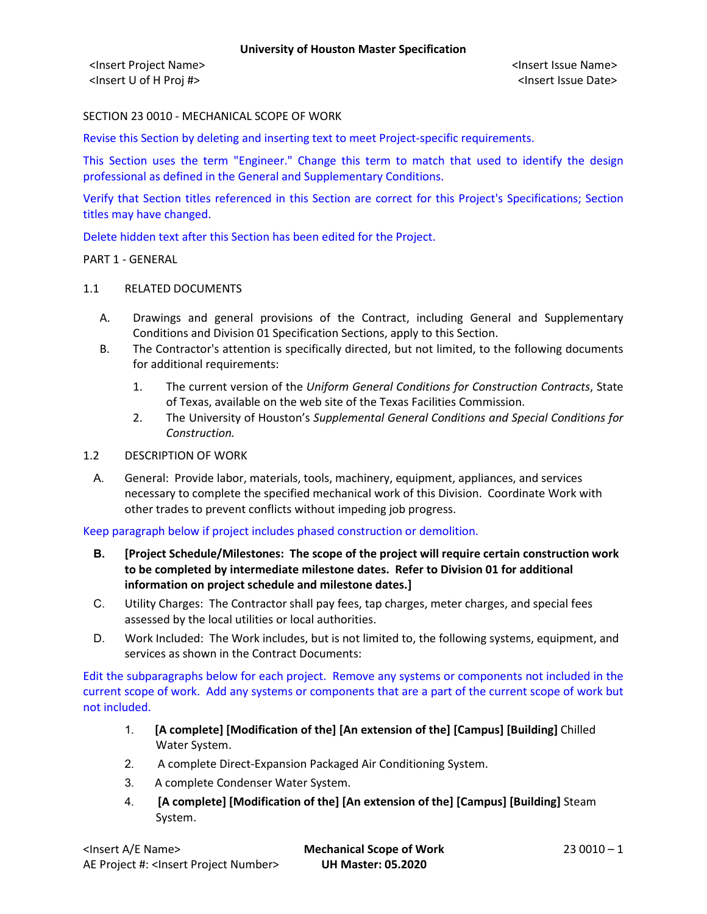<Insert Project Name> <Insert Issue Name> <Insert U of H Proj #> <Insert Issue Date>

# SECTION 23 0010 - MECHANICAL SCOPE OF WORK

Revise this Section by deleting and inserting text to meet Project-specific requirements.

This Section uses the term "Engineer." Change this term to match that used to identify the design professional as defined in the General and Supplementary Conditions.

Verify that Section titles referenced in this Section are correct for this Project's Specifications; Section titles may have changed.

Delete hidden text after this Section has been edited for the Project.

PART 1 - GENERAL

#### 1.1 RELATED DOCUMENTS

- A. Drawings and general provisions of the Contract, including General and Supplementary Conditions and Division 01 Specification Sections, apply to this Section.
- B. The Contractor's attention is specifically directed, but not limited, to the following documents for additional requirements:
	- 1. The current version of the *Uniform General Conditions for Construction Contracts*, State of Texas, available on the web site of the Texas Facilities Commission.
	- 2. The University of Houston's *Supplemental General Conditions and Special Conditions for Construction.*
- 1.2 DESCRIPTION OF WORK
	- A. General: Provide labor, materials, tools, machinery, equipment, appliances, and services necessary to complete the specified mechanical work of this Division. Coordinate Work with other trades to prevent conflicts without impeding job progress.

Keep paragraph below if project includes phased construction or demolition.

- **B. [Project Schedule/Milestones: The scope of the project will require certain construction work to be completed by intermediate milestone dates. Refer to Division 01 for additional information on project schedule and milestone dates.]**
- C. Utility Charges: The Contractor shall pay fees, tap charges, meter charges, and special fees assessed by the local utilities or local authorities.
- D. Work Included: The Work includes, but is not limited to, the following systems, equipment, and services as shown in the Contract Documents:

Edit the subparagraphs below for each project. Remove any systems or components not included in the current scope of work. Add any systems or components that are a part of the current scope of work but not included.

- 1. **[A complete] [Modification of the] [An extension of the] [Campus] [Building]** Chilled Water System.
- 2. A complete Direct-Expansion Packaged Air Conditioning System.
- 3. A complete Condenser Water System.
- 4. **[A complete] [Modification of the] [An extension of the] [Campus] [Building]** Steam System.